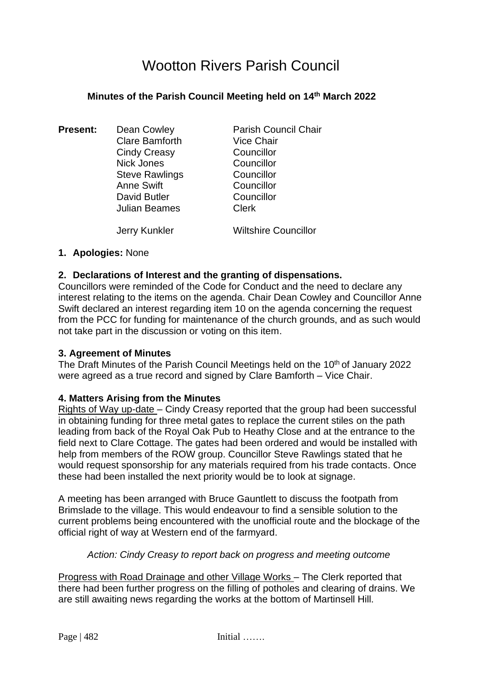# Wootton Rivers Parish Council

## **Minutes of the Parish Council Meeting held on 14 th March 2022**

**Present:** Dean Cowley **Parish Council Chair** Clare Bamforth Vice Chair Cindy Creasy Councillor Nick Jones Councillor Steve Rawlings Councillor Anne Swift Councillor David Butler Councillor Julian Beames Clerk Jerry Kunkler Wiltshire Councillor

#### **1. Apologies:** None

#### **2. Declarations of Interest and the granting of dispensations.**

Councillors were reminded of the Code for Conduct and the need to declare any interest relating to the items on the agenda. Chair Dean Cowley and Councillor Anne Swift declared an interest regarding item 10 on the agenda concerning the request from the PCC for funding for maintenance of the church grounds, and as such would not take part in the discussion or voting on this item.

#### **3. Agreement of Minutes**

The Draft Minutes of the Parish Council Meetings held on the 10<sup>th</sup> of January 2022 were agreed as a true record and signed by Clare Bamforth – Vice Chair.

#### **4. Matters Arising from the Minutes**

Rights of Way up-date – Cindy Creasy reported that the group had been successful in obtaining funding for three metal gates to replace the current stiles on the path leading from back of the Royal Oak Pub to Heathy Close and at the entrance to the field next to Clare Cottage. The gates had been ordered and would be installed with help from members of the ROW group. Councillor Steve Rawlings stated that he would request sponsorship for any materials required from his trade contacts. Once these had been installed the next priority would be to look at signage.

A meeting has been arranged with Bruce Gauntlett to discuss the footpath from Brimslade to the village. This would endeavour to find a sensible solution to the current problems being encountered with the unofficial route and the blockage of the official right of way at Western end of the farmyard.

#### *Action: Cindy Creasy to report back on progress and meeting outcome*

Progress with Road Drainage and other Village Works – The Clerk reported that there had been further progress on the filling of potholes and clearing of drains. We are still awaiting news regarding the works at the bottom of Martinsell Hill.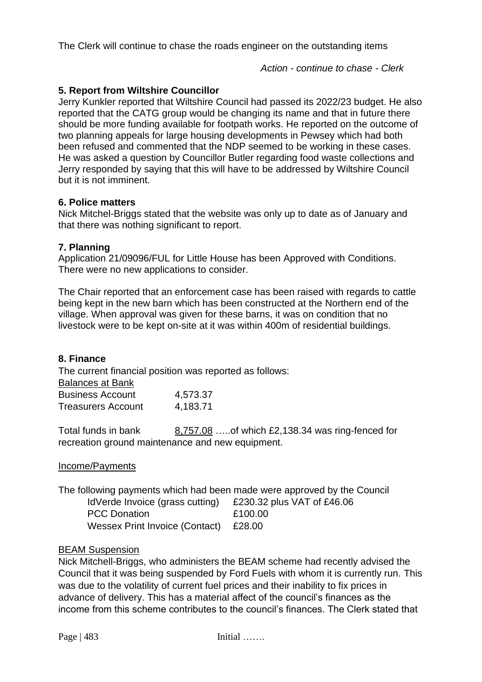The Clerk will continue to chase the roads engineer on the outstanding items

 *Action - continue to chase - Clerk*

# **5. Report from Wiltshire Councillor**

Jerry Kunkler reported that Wiltshire Council had passed its 2022/23 budget. He also reported that the CATG group would be changing its name and that in future there should be more funding available for footpath works. He reported on the outcome of two planning appeals for large housing developments in Pewsey which had both been refused and commented that the NDP seemed to be working in these cases. He was asked a question by Councillor Butler regarding food waste collections and Jerry responded by saying that this will have to be addressed by Wiltshire Council but it is not imminent.

#### **6. Police matters**

Nick Mitchel-Briggs stated that the website was only up to date as of January and that there was nothing significant to report.

#### **7. Planning**

Application 21/09096/FUL for Little House has been Approved with Conditions. There were no new applications to consider.

The Chair reported that an enforcement case has been raised with regards to cattle being kept in the new barn which has been constructed at the Northern end of the village. When approval was given for these barns, it was on condition that no livestock were to be kept on-site at it was within 400m of residential buildings.

#### **8. Finance**

The current financial position was reported as follows: Balances at Bank

| Daldlices at Dalik        |          |
|---------------------------|----------|
| <b>Business Account</b>   | 4,573.37 |
| <b>Treasurers Account</b> | 4,183.71 |

Total funds in bank 8,757.08 …..of which £2,138.34 was ring-fenced for recreation ground maintenance and new equipment.

#### Income/Payments

The following payments which had been made were approved by the Council

| IdVerde Invoice (grass cutting)       |  |
|---------------------------------------|--|
| <b>PCC Donation</b>                   |  |
| <b>Wessex Print Invoice (Contact)</b> |  |

 $£230.32$  plus VAT of  $£46.06$  $£100.00$  $£28.00$ 

#### BEAM Suspension

Nick Mitchell-Briggs, who administers the BEAM scheme had recently advised the Council that it was being suspended by Ford Fuels with whom it is currently run. This was due to the volatility of current fuel prices and their inability to fix prices in advance of delivery. This has a material affect of the council's finances as the income from this scheme contributes to the council's finances. The Clerk stated that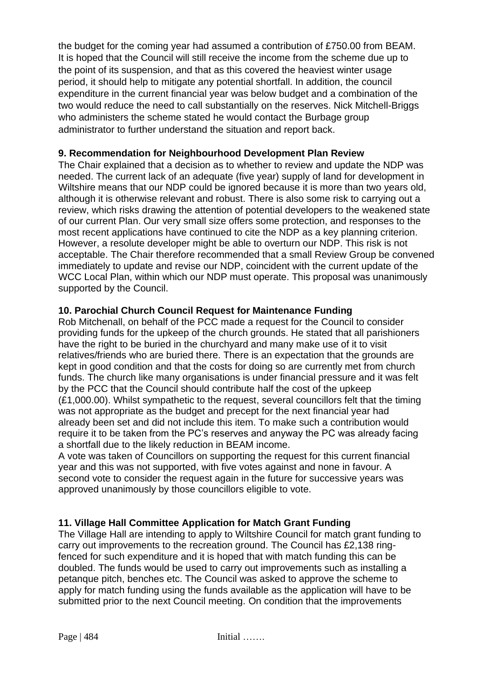the budget for the coming year had assumed a contribution of £750.00 from BEAM. It is hoped that the Council will still receive the income from the scheme due up to the point of its suspension, and that as this covered the heaviest winter usage period, it should help to mitigate any potential shortfall. In addition, the council expenditure in the current financial year was below budget and a combination of the two would reduce the need to call substantially on the reserves. Nick Mitchell-Briggs who administers the scheme stated he would contact the Burbage group administrator to further understand the situation and report back.

## **9. Recommendation for Neighbourhood Development Plan Review**

The Chair explained that a decision as to whether to review and update the NDP was needed. The current lack of an adequate (five year) supply of land for development in Wiltshire means that our NDP could be ignored because it is more than two years old, although it is otherwise relevant and robust. There is also some risk to carrying out a review, which risks drawing the attention of potential developers to the weakened state of our current Plan. Our very small size offers some protection, and responses to the most recent applications have continued to cite the NDP as a key planning criterion. However, a resolute developer might be able to overturn our NDP. This risk is not acceptable. The Chair therefore recommended that a small Review Group be convened immediately to update and revise our NDP, coincident with the current update of the WCC Local Plan, within which our NDP must operate. This proposal was unanimously supported by the Council.

#### **10. Parochial Church Council Request for Maintenance Funding**

Rob Mitchenall, on behalf of the PCC made a request for the Council to consider providing funds for the upkeep of the church grounds. He stated that all parishioners have the right to be buried in the churchyard and many make use of it to visit relatives/friends who are buried there. There is an expectation that the grounds are kept in good condition and that the costs for doing so are currently met from church funds. The church like many organisations is under financial pressure and it was felt by the PCC that the Council should contribute half the cost of the upkeep (£1,000.00). Whilst sympathetic to the request, several councillors felt that the timing was not appropriate as the budget and precept for the next financial year had already been set and did not include this item. To make such a contribution would require it to be taken from the PC's reserves and anyway the PC was already facing a shortfall due to the likely reduction in BEAM income.

A vote was taken of Councillors on supporting the request for this current financial year and this was not supported, with five votes against and none in favour. A second vote to consider the request again in the future for successive years was approved unanimously by those councillors eligible to vote.

# **11. Village Hall Committee Application for Match Grant Funding**

The Village Hall are intending to apply to Wiltshire Council for match grant funding to carry out improvements to the recreation ground. The Council has £2,138 ringfenced for such expenditure and it is hoped that with match funding this can be doubled. The funds would be used to carry out improvements such as installing a petanque pitch, benches etc. The Council was asked to approve the scheme to apply for match funding using the funds available as the application will have to be submitted prior to the next Council meeting. On condition that the improvements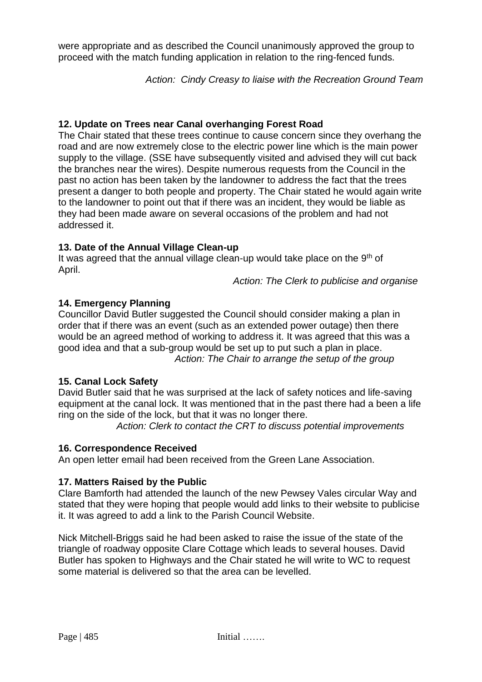were appropriate and as described the Council unanimously approved the group to proceed with the match funding application in relation to the ring-fenced funds.

*Action: Cindy Creasy to liaise with the Recreation Ground Team*

# **12. Update on Trees near Canal overhanging Forest Road**

The Chair stated that these trees continue to cause concern since they overhang the road and are now extremely close to the electric power line which is the main power supply to the village. (SSE have subsequently visited and advised they will cut back the branches near the wires). Despite numerous requests from the Council in the past no action has been taken by the landowner to address the fact that the trees present a danger to both people and property. The Chair stated he would again write to the landowner to point out that if there was an incident, they would be liable as they had been made aware on several occasions of the problem and had not addressed it.

# **13. Date of the Annual Village Clean-up**

It was agreed that the annual village clean-up would take place on the 9<sup>th</sup> of April.

*Action: The Clerk to publicise and organise*

# **14. Emergency Planning**

Councillor David Butler suggested the Council should consider making a plan in order that if there was an event (such as an extended power outage) then there would be an agreed method of working to address it. It was agreed that this was a good idea and that a sub-group would be set up to put such a plan in place. *Action: The Chair to arrange the setup of the group* 

# **15. Canal Lock Safety**

David Butler said that he was surprised at the lack of safety notices and life-saving equipment at the canal lock. It was mentioned that in the past there had a been a life ring on the side of the lock, but that it was no longer there.

*Action: Clerk to contact the CRT to discuss potential improvements* 

# **16. Correspondence Received**

An open letter email had been received from the Green Lane Association.

# **17. Matters Raised by the Public**

Clare Bamforth had attended the launch of the new Pewsey Vales circular Way and stated that they were hoping that people would add links to their website to publicise it. It was agreed to add a link to the Parish Council Website.

Nick Mitchell-Briggs said he had been asked to raise the issue of the state of the triangle of roadway opposite Clare Cottage which leads to several houses. David Butler has spoken to Highways and the Chair stated he will write to WC to request some material is delivered so that the area can be levelled.